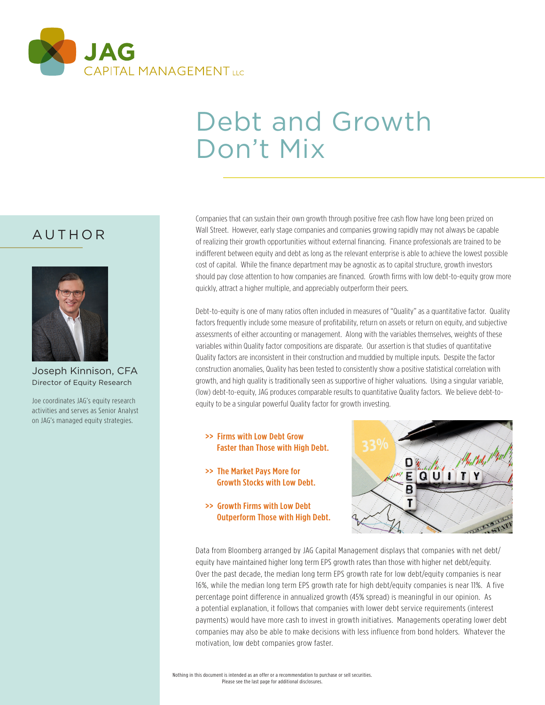

# Debt and Growth Don't Mix

## AUTHOR



Joseph Kinnison, CFA Director of Equity Research

Joe coordinates JAG's equity research activities and serves as Senior Analyst on JAG's managed equity strategies.

Companies that can sustain their own growth through positive free cash flow have long been prized on Wall Street. However, early stage companies and companies growing rapidly may not always be capable of realizing their growth opportunities without external financing. Finance professionals are trained to be indifferent between equity and debt as long as the relevant enterprise is able to achieve the lowest possible cost of capital. While the finance department may be agnostic as to capital structure, growth investors should pay close attention to how companies are financed. Growth firms with low debt-to-equity grow more quickly, attract a higher multiple, and appreciably outperform their peers.

Debt-to-equity is one of many ratios often included in measures of "Quality" as a quantitative factor. Quality factors frequently include some measure of profitability, return on assets or return on equity, and subjective assessments of either accounting or management. Along with the variables themselves, weights of these variables within Quality factor compositions are disparate. Our assertion is that studies of quantitative Quality factors are inconsistent in their construction and muddied by multiple inputs. Despite the factor construction anomalies, Quality has been tested to consistently show a positive statistical correlation with growth, and high quality is traditionally seen as supportive of higher valuations. Using a singular variable, (low) debt-to-equity, JAG produces comparable results to quantitative Quality factors. We believe debt-toequity to be a singular powerful Quality factor for growth investing.

- >> Firms with Low Debt Grow Faster than Those with High Debt.
- >> The Market Pays More for Growth Stocks with Low Debt.
- >> Growth Firms with Low Debt Outperform Those with High Debt.



Data from Bloomberg arranged by JAG Capital Management displays that companies with net debt/ equity have maintained higher long term EPS growth rates than those with higher net debt/equity. Over the past decade, the median long term EPS growth rate for low debt/equity companies is near 16%, while the median long term EPS growth rate for high debt/equity companies is near 11%. A five percentage point difference in annualized growth (45% spread) is meaningful in our opinion. As a potential explanation, it follows that companies with lower debt service requirements (interest payments) would have more cash to invest in growth initiatives. Managements operating lower debt companies may also be able to make decisions with less influence from bond holders. Whatever the motivation, low debt companies grow faster.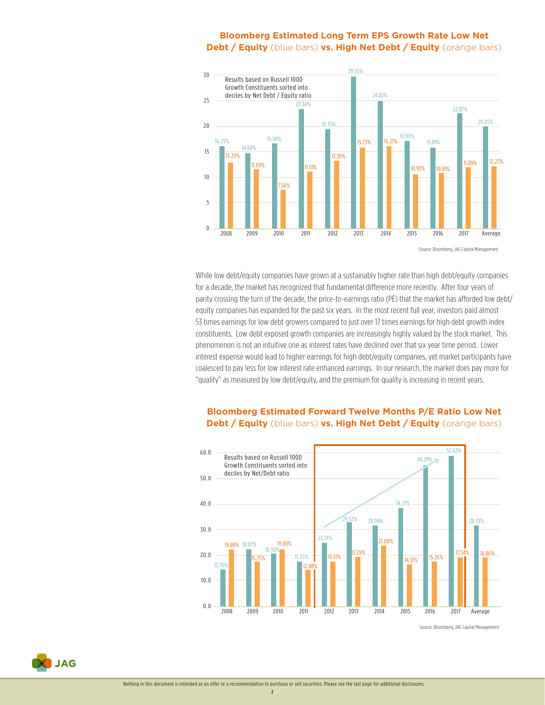#### **Bloomberg Estimated Long Term EPS Growth Rate Low Net Debt / Equity** (blue bars) **vs. High Net Debt / Equity** (orange bars)



While low debt/equity companies have grown at a sustainably higher rate than high debt/equity companies for a decade, the market has recognized that fundamental difference more recently. After four years of parity crossing the turn of the decade, the price-to-earnings ratio (PE) that the market has afforded low debt/ equity companies has expanded for the past six years. In the most recent full year, investors paid almost 53 times earnings for low debt growers compared to just over 17 times earnings for high debt growth index constituents. Low debt exposed growth companies are increasingly highly valued by the stock market. This phenomenon is not an intuitive one as interest rates have declined over that six year time period. Lower interest expense would lead to higher earnings for high debt/equity companies, yet market participants have coalesced to pay less for low interest rate enhanced earnings. In our research, the market does pay more for "quality" as measured by low debt/equity, and the premium for quality is increasing in recent years.



#### **Bloomberg Estimated Forward Twelve Months P/E Ratio Low Net Debt / Equity** (blue bars) **vs. High Net Debt / Equity** (orange bars)

Source: Bloomberg, JAG Capital Management



2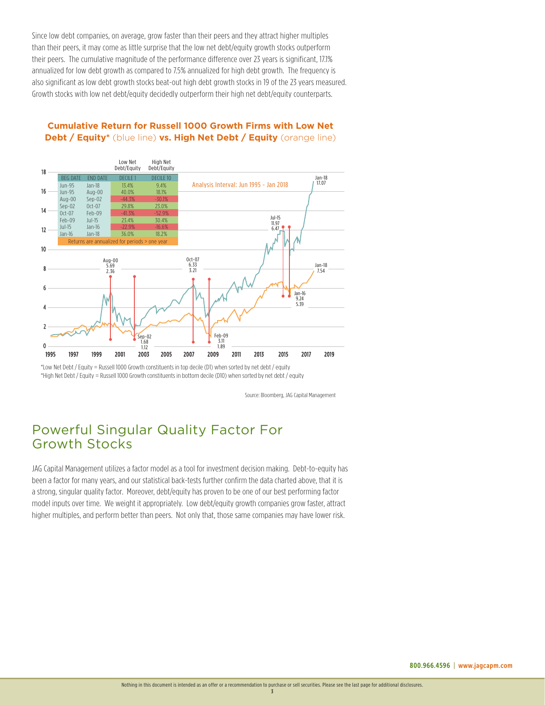Since low debt companies, on average, grow faster than their peers and they attract higher multiples than their peers, it may come as little surprise that the low net debt/equity growth stocks outperform their peers. The cumulative magnitude of the performance difference over 23 years is significant, 17.1% annualized for low debt growth as compared to 7.5% annualized for high debt growth. The frequency is also significant as low debt growth stocks beat-out high debt growth stocks in 19 of the 23 years measured. Growth stocks with low net debt/equity decidedly outperform their high net debt/equity counterparts.



#### **Cumulative Return for Russell 1000 Growth Firms with Low Net Debt / Equity\*** (blue line) **vs. High Net Debt / Equity** (orange line)

\*Low Net Debt / Equity = Russell 1000 Growth constituents in top decile (D1) when sorted by net debt / equity \*High Net Debt / Equity = Russell 1000 Growth constituents in bottom decile (D10) when sorted by net debt / equity

Source: Bloomberg, JAG Capital Management

## Powerful Singular Quality Factor For Growth Stocks

JAG Capital Management utilizes a factor model as a tool for investment decision making. Debt-to-equity has been a factor for many years, and our statistical back-tests further confirm the data charted above, that it is a strong, singular quality factor. Moreover, debt/equity has proven to be one of our best performing factor model inputs over time. We weight it appropriately. Low debt/equity growth companies grow faster, attract higher multiples, and perform better than peers. Not only that, those same companies may have lower risk.

3